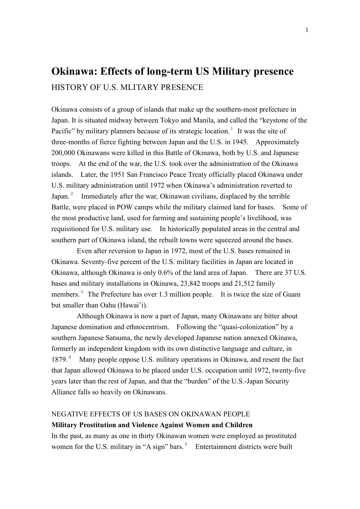# **Okinawa: Effects of long-term US Military presence** HISTORY OF U.S. MLITARY PRESENCE

Okinawa consists of a group of islands that make up the southern-most prefecture in Japan. It is situated midway between Tokyo and Manila, and called the "keystone of the Pacific" by military planners because of its strategic location.<sup>1</sup> It was the site of three-months of fierce fighting between Japan and the U.S. in 1945. Approximately 200,000 Okinawans were killed in this Battle of Okinawa, both by U.S. and Japanese troops. At the end of the war, the U.S. took over the administration of the Okinawa islands. Later, the 1951 San Francisco Peace Treaty officially placed Okinawa under U.S. military administration until 1972 when Okinawa's administration reverted to Japan. $^2$  Immediately after the war, Okinawan civilians, displaced by the terrible Battle, were placed in POW camps while the military claimed land for bases. Some of the most productive land, used for farming and sustaining people's livelihood, was requisitioned for U.S. military use. In historically populated areas in the central and southern part of Okinawa island, the rebuilt towns were squeezed around the bases.

Even after reversion to Japan in 1972, most of the U.S. bases remained in Okinawa. Seventy-five percent of the U.S. military facilities in Japan are located in Okinawa, although Okinawa is only 0.6% of the land area of Japan. There are 37 U.S. bases and military installations in Okinawa, 23,842 troops and 21,512 family members.<sup>3</sup> The Prefecture has over 1.3 million people. It is twice the size of Guam but smaller than Oahu (Hawai'i).

Although Okinawa is now a part of Japan, many Okinawans are bitter about Japanese domination and ethnocentrism. Following the "quasi-colonization" by a southern Japanese Satsuma, the newly developed Japanese nation annexed Okinawa, formerly an independent kingdom with its own distinctive language and culture, in 1879.<sup>4</sup> Many people oppose U.S. military operations in Okinawa, and resent the fact that Japan allowed Okinawa to be placed under U.S. occupation until 1972, twenty-five years later than the rest of Japan, and that the "burden" of the U.S.-Japan Security Alliance falls so heavily on Okinawans.

# NEGATIVE EFFECTS OF US BASES ON OKINAWAN PEOPLE

## **Military Prostitution and Violence Against Women and Children**

In the past, as many as one in thirty Okinawan women were employed as prostituted women for the U.S. military in "A sign" bars.<sup>5</sup> Entertainment districts were built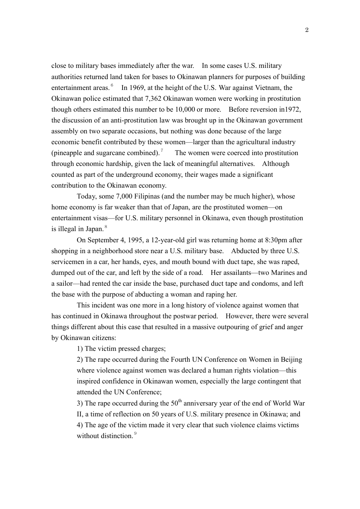close to military bases immediately after the war. In some cases U.S. military authorities returned land taken for bases to Okinawan planners for purposes of building entertainment areas.<sup>6</sup> In 1969, at the height of the U.S. War against Vietnam, the Okinawan police estimated that 7,362 Okinawan women were working in prostitution though others estimated this number to be 10,000 or more. Before reversion in1972, the discussion of an anti-prostitution law was brought up in the Okinawan government assembly on two separate occasions, but nothing was done because of the large economic benefit contributed by these women—larger than the agricultural industry (pineapple and sugarcane combined). The women were coerced into prostitution through economic hardship, given the lack of meaningful alternatives. Although counted as part of the underground economy, their wages made a significant contribution to the Okinawan economy.

Today, some 7,000 Filipinas (and the number may be much higher), whose home economy is far weaker than that of Japan, are the prostituted women—on entertainment visas—for U.S. military personnel in Okinawa, even though prostitution is illegal in Japan.<sup>8</sup>

On September 4, 1995, a 12-year-old girl was returning home at 8:30pm after shopping in a neighborhood store near a U.S. military base. Abducted by three U.S. servicemen in a car, her hands, eyes, and mouth bound with duct tape, she was raped, dumped out of the car, and left by the side of a road. Her assailants—two Marines and a sailor—had rented the car inside the base, purchased duct tape and condoms, and left the base with the purpose of abducting a woman and raping her.

This incident was one more in a long history of violence against women that has continued in Okinawa throughout the postwar period. However, there were several things different about this case that resulted in a massive outpouring of grief and anger by Okinawan citizens:

1) The victim pressed charges;

2) The rape occurred during the Fourth UN Conference on Women in Beijing where violence against women was declared a human rights violation—this inspired confidence in Okinawan women, especially the large contingent that attended the UN Conference;

3) The rape occurred during the  $50<sup>th</sup>$  anniversary year of the end of World War

II, a time of reflection on 50 years of U.S. military presence in Okinawa; and 4) The age of the victim made it very clear that such violence claims victims without distinction.<sup>9</sup>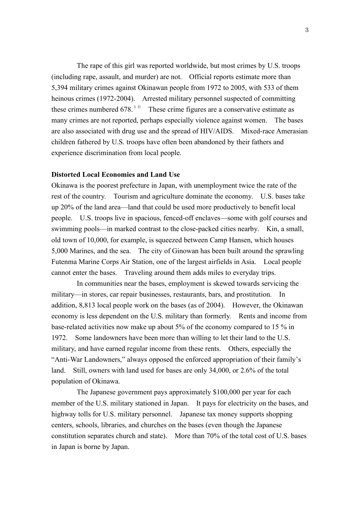The rape of this girl was reported worldwide, but most crimes by U.S. troops (including rape, assault, and murder) are not. Official reports estimate more than 5,394 military crimes against Okinawan people from 1972 to 2005, with 533 of them heinous crimes (1972-2004). Arrested military personnel suspected of committing these crimes numbered  $678<sup>10</sup>$  These crime figures are a conservative estimate as many crimes are not reported, perhaps especially violence against women. The bases are also associated with drug use and the spread of HIV/AIDS. Mixed-race Amerasian children fathered by U.S. troops have often been abandoned by their fathers and experience discrimination from local people.

#### **Distorted Local Economies and Land Use**

Okinawa is the poorest prefecture in Japan, with unemployment twice the rate of the rest of the country. Tourism and agriculture dominate the economy. U.S. bases take up 20% of the land area—land that could be used more productively to benefit local people. U.S. troops live in spacious, fenced-off enclaves—some with golf courses and swimming pools—in marked contrast to the close-packed cities nearby. Kin, a small, old town of 10,000, for example, is squeezed between Camp Hansen, which houses 5,000 Marines, and the sea. The city of Ginowan has been built around the sprawling Futenma Marine Corps Air Station, one of the largest airfields in Asia. Local people cannot enter the bases. Traveling around them adds miles to everyday trips.

In communities near the bases, employment is skewed towards servicing the military—in stores, car repair businesses, restaurants, bars, and prostitution. In addition, 8,813 local people work on the bases (as of 2004). However, the Okinawan economy is less dependent on the U.S. military than formerly. Rents and income from base-related activities now make up about 5% of the economy compared to 15 % in 1972. Some landowners have been more than willing to let their land to the U.S. military, and have earned regular income from these rents. Others, especially the "Anti-War Landowners," always opposed the enforced appropriation of their family's land. Still, owners with land used for bases are only 34,000, or 2.6% of the total population of Okinawa.

The Japanese government pays approximately \$100,000 per year for each member of the U.S. military stationed in Japan. It pays for electricity on the bases, and highway tolls for U.S. military personnel. Japanese tax money supports shopping centers, schools, libraries, and churches on the bases (even though the Japanese constitution separates church and state). More than 70% of the total cost of U.S. bases in Japan is borne by Japan.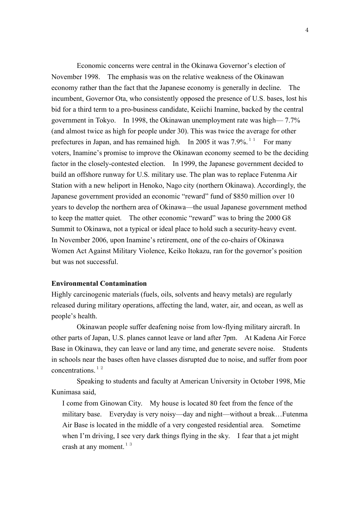Economic concerns were central in the Okinawa Governor's election of November 1998. The emphasis was on the relative weakness of the Okinawan economy rather than the fact that the Japanese economy is generally in decline. The incumbent, Governor Ota, who consistently opposed the presence of U.S. bases, lost his bid for a third term to a pro-business candidate, Keiichi Inamine, backed by the central government in Tokyo. In 1998, the Okinawan unemployment rate was high— 7.7% (and almost twice as high for people under 30). This was twice the average for other prefectures in Japan, and has remained high. In 2005 it was  $7.9\%$ .<sup>11</sup> For many voters, Inamine's promise to improve the Okinawan economy seemed to be the deciding factor in the closely-contested election. In 1999, the Japanese government decided to build an offshore runway for U.S. military use. The plan was to replace Futenma Air Station with a new heliport in Henoko, Nago city (northern Okinawa). Accordingly, the Japanese government provided an economic "reward" fund of \$850 million over 10 years to develop the northern area of Okinawa—the usual Japanese government method to keep the matter quiet. The other economic "reward" was to bring the 2000 G8 Summit to Okinawa, not a typical or ideal place to hold such a security-heavy event. In November 2006, upon Inamine's retirement, one of the co-chairs of Okinawa Women Act Against Military Violence, Keiko Itokazu, ran for the governor's position but was not successful.

#### **Environmental Contamination**

Highly carcinogenic materials (fuels, oils, solvents and heavy metals) are regularly released during military operations, affecting the land, water, air, and ocean, as well as people's health.

Okinawan people suffer deafening noise from low-flying military aircraft. In other parts of Japan, U.S. planes cannot leave or land after 7pm. At Kadena Air Force Base in Okinawa, they can leave or land any time, and generate severe noise. Students in schools near the bases often have classes disrupted due to noise, and suffer from poor concentrations. $12$ 

Speaking to students and faculty at American University in October 1998, Mie Kunimasa said,

I come from Ginowan City. My house is located 80 feet from the fence of the military base. Everyday is very noisy—day and night—without a break…Futenma Air Base is located in the middle of a very congested residential area. Sometime when I'm driving, I see very dark things flying in the sky. I fear that a jet might crash at any moment. $13$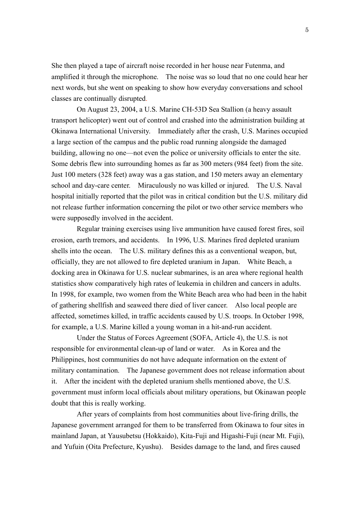She then played a tape of aircraft noise recorded in her house near Futenma, and amplified it through the microphone. The noise was so loud that no one could hear her next words, but she went on speaking to show how everyday conversations and school classes are continually disrupted.

On August 23, 2004, a U.S. Marine CH-53D Sea Stallion (a heavy assault transport helicopter) went out of control and crashed into the administration building at Okinawa International University. Immediately after the crash, U.S. Marines occupied a large section of the campus and the public road running alongside the damaged building, allowing no one—not even the police or university officials to enter the site. Some debris flew into surrounding homes as far as 300 meters (984 feet) from the site. Just 100 meters (328 feet) away was a gas station, and 150 meters away an elementary school and day-care center. Miraculously no was killed or injured. The U.S. Naval hospital initially reported that the pilot was in critical condition but the U.S. military did not release further information concerning the pilot or two other service members who were supposedly involved in the accident.

Regular training exercises using live ammunition have caused forest fires, soil erosion, earth tremors, and accidents. In 1996, U.S. Marines fired depleted uranium shells into the ocean. The U.S. military defines this as a conventional weapon, but, officially, they are not allowed to fire depleted uranium in Japan. White Beach, a docking area in Okinawa for U.S. nuclear submarines, is an area where regional health statistics show comparatively high rates of leukemia in children and cancers in adults. In 1998, for example, two women from the White Beach area who had been in the habit of gathering shellfish and seaweed there died of liver cancer. Also local people are affected, sometimes killed, in traffic accidents caused by U.S. troops. In October 1998, for example, a U.S. Marine killed a young woman in a hit-and-run accident.

Under the Status of Forces Agreement (SOFA, Article 4), the U.S. is not responsible for environmental clean-up of land or water. As in Korea and the Philippines, host communities do not have adequate information on the extent of military contamination. The Japanese government does not release information about it. After the incident with the depleted uranium shells mentioned above, the U.S. government must inform local officials about military operations, but Okinawan people doubt that this is really working.

After years of complaints from host communities about live-firing drills, the Japanese government arranged for them to be transferred from Okinawa to four sites in mainland Japan, at Yausubetsu (Hokkaido), Kita-Fuji and Higashi-Fuji (near Mt. Fuji), and Yufuin (Oita Prefecture, Kyushu). Besides damage to the land, and fires caused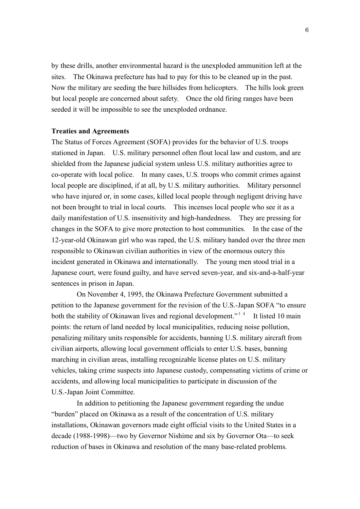by these drills, another environmental hazard is the unexploded ammunition left at the sites. The Okinawa prefecture has had to pay for this to be cleaned up in the past. Now the military are seeding the bare hillsides from helicopters. The hills look green but local people are concerned about safety. Once the old firing ranges have been seeded it will be impossible to see the unexploded ordnance.

### **Treaties and Agreements**

The Status of Forces Agreement (SOFA) provides for the behavior of U.S. troops stationed in Japan. U.S. military personnel often flout local law and custom, and are shielded from the Japanese judicial system unless U.S. military authorities agree to co-operate with local police. In many cases, U.S. troops who commit crimes against local people are disciplined, if at all, by U.S. military authorities. Military personnel who have injured or, in some cases, killed local people through negligent driving have not been brought to trial in local courts. This incenses local people who see it as a daily manifestation of U.S. insensitivity and high-handedness. They are pressing for changes in the SOFA to give more protection to host communities. In the case of the 12-year-old Okinawan girl who was raped, the U.S. military handed over the three men responsible to Okinawan civilian authorities in view of the enormous outcry this incident generated in Okinawa and internationally. The young men stood trial in a Japanese court, were found guilty, and have served seven-year, and six-and-a-half-year sentences in prison in Japan.

On November 4, 1995, the Okinawa Prefecture Government submitted a petition to the Japanese government for the revision of the U.S.-Japan SOFA "to ensure both the stability of Okinawan lives and regional development."<sup>14</sup> It listed 10 main points: the return of land needed by local municipalities, reducing noise pollution, penalizing military units responsible for accidents, banning U.S. military aircraft from civilian airports, allowing local government officials to enter U.S. bases, banning marching in civilian areas, installing recognizable license plates on U.S. military vehicles, taking crime suspects into Japanese custody, compensating victims of crime or accidents, and allowing local municipalities to participate in discussion of the U.S.-Japan Joint Committee.

In addition to petitioning the Japanese government regarding the undue "burden" placed on Okinawa as a result of the concentration of U.S. military installations, Okinawan governors made eight official visits to the United States in a decade (1988-1998)—two by Governor Nishime and six by Governor Ota—to seek reduction of bases in Okinawa and resolution of the many base-related problems.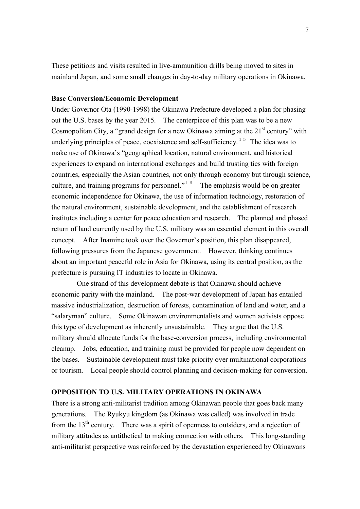These petitions and visits resulted in live-ammunition drills being moved to sites in mainland Japan, and some small changes in day-to-day military operations in Okinawa.

### **Base Conversion/Economic Development**

Under Governor Ota (1990-1998) the Okinawa Prefecture developed a plan for phasing out the U.S. bases by the year 2015. The centerpiece of this plan was to be a new Cosmopolitan City, a "grand design for a new Okinawa aiming at the  $21<sup>st</sup>$  century" with underlying principles of peace, coexistence and self-sufficiency.<sup>15</sup> The idea was to make use of Okinawa's "geographical location, natural environment, and historical experiences to expand on international exchanges and build trusting ties with foreign countries, especially the Asian countries, not only through economy but through science, culture, and training programs for personnel."<sup>16</sup> The emphasis would be on greater economic independence for Okinawa, the use of information technology, restoration of the natural environment, sustainable development, and the establishment of research institutes including a center for peace education and research. The planned and phased return of land currently used by the U.S. military was an essential element in this overall concept. After Inamine took over the Governor's position, this plan disappeared, following pressures from the Japanese government. However, thinking continues about an important peaceful role in Asia for Okinawa, using its central position, as the prefecture is pursuing IT industries to locate in Okinawa.

One strand of this development debate is that Okinawa should achieve economic parity with the mainland. The post-war development of Japan has entailed massive industrialization, destruction of forests, contamination of land and water, and a "salaryman" culture. Some Okinawan environmentalists and women activists oppose this type of development as inherently unsustainable. They argue that the U.S. military should allocate funds for the base-conversion process, including environmental cleanup. Jobs, education, and training must be provided for people now dependent on the bases. Sustainable development must take priority over multinational corporations or tourism. Local people should control planning and decision-making for conversion.

#### **OPPOSITION TO U.S. MILITARY OPERATIONS IN OKINAWA**

There is a strong anti-militarist tradition among Okinawan people that goes back many generations. The Ryukyu kingdom (as Okinawa was called) was involved in trade from the 13<sup>th</sup> century. There was a spirit of openness to outsiders, and a rejection of military attitudes as antithetical to making connection with others. This long-standing anti-militarist perspective was reinforced by the devastation experienced by Okinawans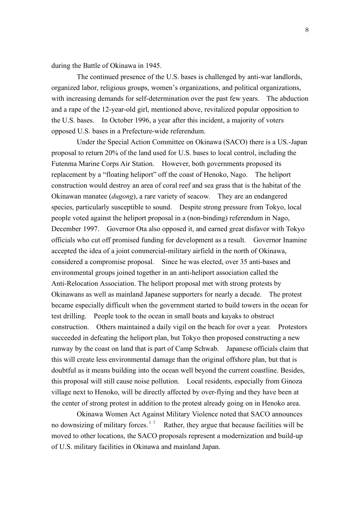during the Battle of Okinawa in 1945.

The continued presence of the U.S. bases is challenged by anti-war landlords, organized labor, religious groups, women's organizations, and political organizations, with increasing demands for self-determination over the past few years. The abduction and a rape of the 12-year-old girl, mentioned above, revitalized popular opposition to the U.S. bases. In October 1996, a year after this incident, a majority of voters opposed U.S. bases in a Prefecture-wide referendum.

Under the Special Action Committee on Okinawa (SACO) there is a US.-Japan proposal to return 20% of the land used for U.S. bases to local control, including the Futenma Marine Corps Air Station. However, both governments proposed its replacement by a "floating heliport" off the coast of Henoko, Nago. The heliport construction would destroy an area of coral reef and sea grass that is the habitat of the Okinawan manatee (*dugong*), a rare variety of seacow. They are an endangered species, particularly susceptible to sound. Despite strong pressure from Tokyo, local people voted against the heliport proposal in a (non-binding) referendum in Nago, December 1997. Governor Ota also opposed it, and earned great disfavor with Tokyo officials who cut off promised funding for development as a result. Governor Inamine accepted the idea of a joint commercial-military airfield in the north of Okinawa, considered a compromise proposal. Since he was elected, over 35 anti-bases and environmental groups joined together in an anti-heliport association called the Anti-Relocation Association. The heliport proposal met with strong protests by Okinawans as well as mainland Japanese supporters for nearly a decade. The protest became especially difficult when the government started to build towers in the ocean for test drilling. People took to the ocean in small boats and kayaks to obstruct construction. Others maintained a daily vigil on the beach for over a year. Protestors succeeded in defeating the heliport plan, but Tokyo then proposed constructing a new runway by the coast on land that is part of Camp Schwab. Japanese officials claim that this will create less environmental damage than the original offshore plan, but that is doubtful as it means building into the ocean well beyond the current coastline. Besides, this proposal will still cause noise pollution. Local residents, especially from Ginoza village next to Henoko, will be directly affected by over-flying and they have been at the center of strong protest in addition to the protest already going on in Henoko area.

Okinawa Women Act Against Military Violence noted that SACO announces no downsizing of military forces.<sup>17</sup> Rather, they argue that because facilities will be moved to other locations, the SACO proposals represent a modernization and build-up of U.S. military facilities in Okinawa and mainland Japan.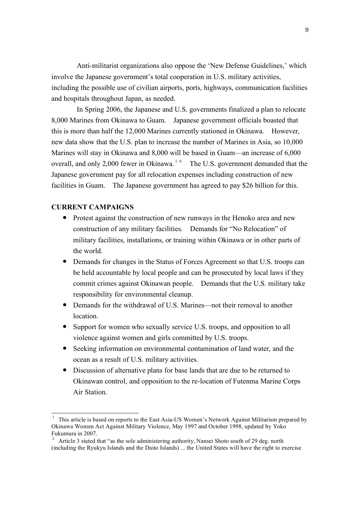Anti-militarist organizations also oppose the 'New Defense Guidelines,' which involve the Japanese government's total cooperation in U.S. military activities, including the possible use of civilian airports, ports, highways, communication facilities and hospitals throughout Japan, as needed.

In Spring 2006, the Japanese and U.S. governments finalized a plan to relocate 8,000 Marines from Okinawa to Guam. Japanese government officials boasted that this is more than half the 12,000 Marines currently stationed in Okinawa. However, new data show that the U.S. plan to increase the number of Marines in Asia, so 10,000 Marines will stay in Okinawa and 8,000 will be based in Guam—an increase of 6,000 overall, and only 2,000 fewer in Okinawa.<sup>18</sup> The U.S. government demanded that the Japanese government pay for all relocation expenses including construction of new facilities in Guam. The Japanese government has agreed to pay \$26 billion for this.

#### **CURRENT CAMPAIGNS**

- Protest against the construction of new runways in the Henoko area and new construction of any military facilities. Demands for "No Relocation" of military facilities, installations, or training within Okinawa or in other parts of the world.
- Demands for changes in the Status of Forces Agreement so that U.S. troops can be held accountable by local people and can be prosecuted by local laws if they commit crimes against Okinawan people. Demands that the U.S. military take responsibility for environmental cleanup.
- Demands for the withdrawal of U.S. Marines—not their removal to another **location**
- Support for women who sexually service U.S. troops, and opposition to all violence against women and girls committed by U.S. troops.
- Seeking information on environmental contamination of land water, and the ocean as a result of U.S. military activities.
- Discussion of alternative plans for base lands that are due to be returned to Okinawan control, and opposition to the re-location of Futenma Marine Corps Air Station.

<sup>1</sup> This article is based on reports to the East Asia-US Women's Network Against Militarism prepared by Okinawa Women Act Against Military Violence, May 1997 and October 1998, updated by Yoko

<sup>&</sup>lt;sup>2</sup> Article 3 stated that "as the sole administering authority, Nansei Shoto south of 29 deg. north (including the Ryukyu Islands and the Daito Islands) ... the United States will have the right to exercise